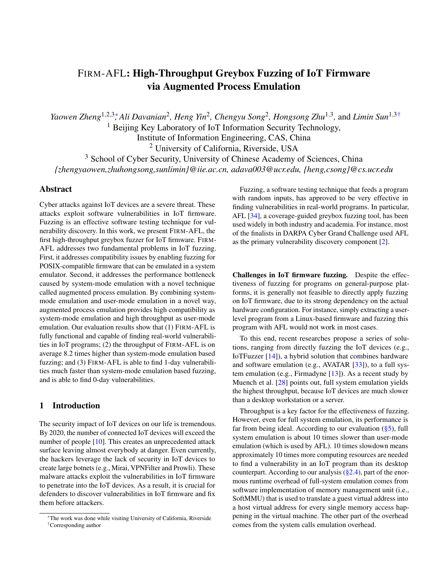# FIRM-AFL: High-Throughput Greybox Fuzzing of IoT Firmware via Augmented Process Emulation

*Yaowen Zheng*<sup>1,2,3</sup><sup>∗</sup>, Ali Davanian<sup>2</sup>, Heng Yin<sup>2</sup>, Chengyu Song<sup>2</sup>, Hongsong Zhu<sup>1,3</sup>, and Limin Sun<sup>1,3†</sup>

<sup>1</sup> Beijing Key Laboratory of IoT Information Security Technology,

Institute of Information Engineering, CAS, China

<sup>2</sup> University of California, Riverside, USA

<sup>3</sup> School of Cyber Security, University of Chinese Academy of Sciences, China *{zhengyaowen,zhuhongsong,sunlimin}@iie.ac.cn, adava003@ucr.edu, {heng,csong}@cs.ucr.edu*

# Abstract

Cyber attacks against IoT devices are a severe threat. These attacks exploit software vulnerabilities in IoT firmware. Fuzzing is an effective software testing technique for vulnerability discovery. In this work, we present FIRM-AFL, the first high-throughput greybox fuzzer for IoT firmware. FIRM-AFL addresses two fundamental problems in IoT fuzzing. First, it addresses compatibility issues by enabling fuzzing for POSIX-compatible firmware that can be emulated in a system emulator. Second, it addresses the performance bottleneck caused by system-mode emulation with a novel technique called augmented process emulation. By combining systemmode emulation and user-mode emulation in a novel way, augmented process emulation provides high compatibility as system-mode emulation and high throughput as user-mode emulation. Our evaluation results show that (1) FIRM-AFL is fully functional and capable of finding real-world vulnerabilities in IoT programs; (2) the throughput of FIRM-AFL is on average 8.2 times higher than system-mode emulation based fuzzing; and (3) FIRM-AFL is able to find 1-day vulnerabilities much faster than system-mode emulation based fuzzing, and is able to find 0-day vulnerabilities.

#### 1 Introduction

The security impact of IoT devices on our life is tremendous. By 2020, the number of connected IoT devices will exceed the number of people [\[10\]](#page-14-0). This creates an unprecedented attack surface leaving almost everybody at danger. Even currently, the hackers leverage the lack of security in IoT devices to create large botnets (e.g., Mirai, VPNFilter and Prowli). These malware attacks exploit the vulnerabilities in IoT firmware to penetrate into the IoT devices. As a result, it is crucial for defenders to discover vulnerabilities in IoT firmware and fix them before attackers.

Fuzzing, a software testing technique that feeds a program with random inputs, has approved to be very effective in finding vulnerabilities in real-world programs. In particular, AFL [\[34\]](#page-15-0), a coverage-guided greybox fuzzing tool, has been used widely in both industry and academia. For instance, most of the finalists in DARPA Cyber Grand Challenge used AFL as the primary vulnerability discovery component [\[2\]](#page-13-0).

Challenges in IoT firmware fuzzing. Despite the effectiveness of fuzzing for programs on general-purpose platforms, it is generally not feasible to directly apply fuzzing on IoT firmware, due to its strong dependency on the actual hardware configuration. For instance, simply extracting a userlevel program from a Linux-based firmware and fuzzing this program with AFL would not work in most cases.

To this end, recent researches propose a series of solutions, ranging from directly fuzzing the IoT devices (e.g., IoTFuzzer [\[14\]](#page-14-1)), a hybrid solution that combines hardware and software emulation (e.g., AVATAR [\[33\]](#page-15-1)), to a full system emulation (e.g., Firmadyne [\[13\]](#page-14-2)). As a recent study by Muench et al. [\[28\]](#page-14-3) points out, full system emulation yields the highest throughput, because IoT devices are much slower than a desktop workstation or a server.

Throughput is a key factor for the effectiveness of fuzzing. However, even for full system emulation, its performance is far from being ideal. According to our evaluation  $(\frac{8}{5})$ , full system emulation is about 10 times slower than user-mode emulation (which is used by AFL). 10 times slowdown means approximately 10 times more computing resources are needed to find a vulnerability in an IoT program than its desktop counterpart. According to our analysis  $(\S2.4)$ , part of the enormous runtime overhead of full-system emulation comes from software implementation of memory management unit (i.e., SoftMMU) that is used to translate a guest virtual address into a host virtual address for every single memory access happening in the virtual machine. The other part of the overhead comes from the system calls emulation overhead.

<sup>∗</sup>The work was done while visiting University of California, Riverside †Corresponding author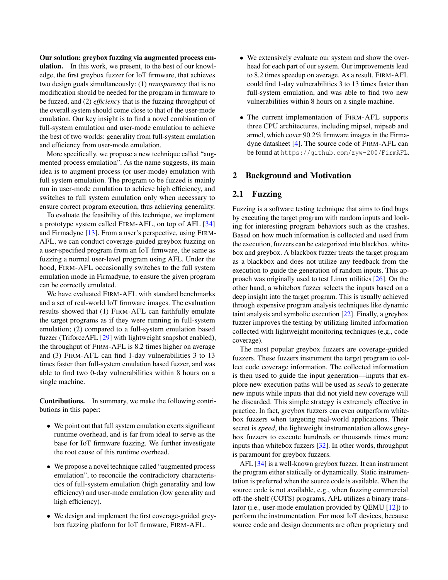Our solution: greybox fuzzing via augmented process emulation. In this work, we present, to the best of our knowledge, the first greybox fuzzer for IoT firmware, that achieves two design goals simultaneously: (1) *transparency* that is no modification should be needed for the program in firmware to be fuzzed, and (2) *efficiency* that is the fuzzing throughput of the overall system should come close to that of the user-mode emulation. Our key insight is to find a novel combination of full-system emulation and user-mode emulation to achieve the best of two worlds: generality from full-system emulation and efficiency from user-mode emulation.

More specifically, we propose a new technique called "augmented process emulation". As the name suggests, its main idea is to augment process (or user-mode) emulation with full system emulation. The program to be fuzzed is mainly run in user-mode emulation to achieve high efficiency, and switches to full system emulation only when necessary to ensure correct program execution, thus achieving generality.

To evaluate the feasibility of this technique, we implement a prototype system called FIRM-AFL, on top of AFL [\[34\]](#page-15-0) and Firmadyne [\[13\]](#page-14-2). From a user's perspective, using FIRM-AFL, we can conduct coverage-guided greybox fuzzing on a user-specified program from an IoT firmware, the same as fuzzing a normal user-level program using AFL. Under the hood, FIRM-AFL occasionally switches to the full system emulation mode in Firmadyne, to ensure the given program can be correctly emulated.

We have evaluated FIRM-AFL with standard benchmarks and a set of real-world IoT firmware images. The evaluation results showed that (1) FIRM-AFL can faithfully emulate the target programs as if they were running in full-system emulation; (2) compared to a full-system emulation based fuzzer (TriforceAFL [\[29\]](#page-15-2) with lightweight snapshot enabled), the throughput of FIRM-AFL is 8.2 times higher on average and (3) FIRM-AFL can find 1-day vulnerabilities 3 to 13 times faster than full-system emulation based fuzzer, and was able to find two 0-day vulnerabilities within 8 hours on a single machine.

Contributions. In summary, we make the following contributions in this paper:

- We point out that full system emulation exerts significant runtime overhead, and is far from ideal to serve as the base for IoT firmware fuzzing. We further investigate the root cause of this runtime overhead.
- We propose a novel technique called "augmented process emulation", to reconcile the contradictory characteristics of full-system emulation (high generality and low efficiency) and user-mode emulation (low generality and high efficiency).
- We design and implement the first coverage-guided greybox fuzzing platform for IoT firmware, FIRM-AFL.
- We extensively evaluate our system and show the overhead for each part of our system. Our improvements lead to 8.2 times speedup on average. As a result, FIRM-AFL could find 1-day vulnerabilities 3 to 13 times faster than full-system emulation, and was able to find two new vulnerabilities within 8 hours on a single machine.
- The current implementation of FIRM-AFL supports three CPU architectures, including mipsel, mipseb and armel, which cover 90.2% firmware images in the Firmadyne datasheet [\[4\]](#page-13-1). The source code of FIRM-AFL can be found at <https://github.com/zyw-200/FirmAFL>.

# <span id="page-1-1"></span>2 Background and Motivation

# <span id="page-1-0"></span>2.1 Fuzzing

Fuzzing is a software testing technique that aims to find bugs by executing the target program with random inputs and looking for interesting program behaviors such as the crashes. Based on how much information is collected and used from the execution, fuzzers can be categorized into blackbox, whitebox and greybox. A blackbox fuzzer treats the target program as a blackbox and does not utilize any feedback from the execution to guide the generation of random inputs. This approach was originally used to test Linux utilities [\[26\]](#page-14-4). On the other hand, a whitebox fuzzer selects the inputs based on a deep insight into the target program. This is usually achieved through expensive program analysis techniques like dynamic taint analysis and symbolic execution [\[22\]](#page-14-5). Finally, a greybox fuzzer improves the testing by utilizing limited information collected with lightweight monitoring techniques (e.g., code coverage).

The most popular greybox fuzzers are coverage-guided fuzzers. These fuzzers instrument the target program to collect code coverage information. The collected information is then used to guide the input generation—inputs that explore new execution paths will be used as *seeds* to generate new inputs while inputs that did not yield new coverage will be discarded. This simple strategy is extremely effective in practice. In fact, greybox fuzzers can even outperform whitebox fuzzers when targeting real-world applications. Their secret is *speed*, the lightweight instrumentation allows greybox fuzzers to execute hundreds or thousands times more inputs than whitebox fuzzers [\[32\]](#page-15-3). In other words, throughput is paramount for greybox fuzzers.

AFL [\[34\]](#page-15-0) is a well-known greybox fuzzer. It can instrument the program either statically or dynamically. Static instrumentation is preferred when the source code is available. When the source code is not available, e.g., when fuzzing commercial off-the-shelf (COTS) programs, AFL utilizes a binary translator (i.e., user-mode emulation provided by QEMU [\[12\]](#page-14-6)) to perform the instrumentation. For most IoT devices, because source code and design documents are often proprietary and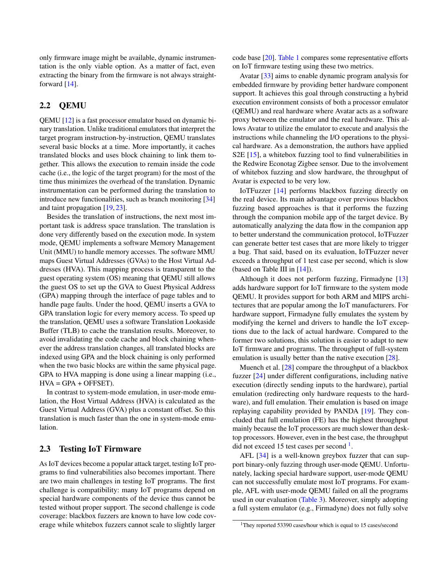only firmware image might be available, dynamic instrumentation is the only viable option. As a matter of fact, even extracting the binary from the firmware is not always straightforward [\[14\]](#page-14-1).

# 2.2 QEMU

QEMU [\[12\]](#page-14-6) is a fast processor emulator based on dynamic binary translation. Unlike traditional emulators that interpret the target program instruction-by-instruction, QEMU translates several basic blocks at a time. More importantly, it caches translated blocks and uses block chaining to link them together. This allows the execution to remain inside the code cache (i.e., the logic of the target program) for the most of the time thus minimizes the overhead of the translation. Dynamic instrumentation can be performed during the translation to introduce new functionalities, such as branch monitoring [\[34\]](#page-15-0) and taint propagation [\[19,](#page-14-7) [23\]](#page-14-8).

Besides the translation of instructions, the next most important task is address space translation. The translation is done very differently based on the execution mode. In system mode, QEMU implements a software Memory Management Unit (MMU) to handle memory accesses. The software MMU maps Guest Virtual Addresses (GVAs) to the Host Virtual Addresses (HVA). This mapping process is transparent to the guest operating system (OS) meaning that QEMU still allows the guest OS to set up the GVA to Guest Physical Address (GPA) mapping through the interface of page tables and to handle page faults. Under the hood, QEMU inserts a GVA to GPA translation logic for every memory access. To speed up the translation, QEMU uses a software Translation Lookaside Buffer (TLB) to cache the translation results. Moreover, to avoid invalidating the code cache and block chaining whenever the address translation changes, all translated blocks are indexed using GPA and the block chaining is only performed when the two basic blocks are within the same physical page. GPA to HVA mapping is done using a linear mapping (i.e.,  $HVA = GPA + OFFSET$ ).

In contrast to system-mode emulation, in user-mode emulation, the Host Virtual Address (HVA) is calculated as the Guest Virtual Address (GVA) plus a constant offset. So this translation is much faster than the one in system-mode emulation.

# 2.3 Testing IoT Firmware

As IoT devices become a popular attack target, testing IoT programs to find vulnerabilities also becomes important. There are two main challenges in testing IoT programs. The first challenge is compatibility: many IoT programs depend on special hardware components of the device thus cannot be tested without proper support. The second challenge is code coverage: blackbox fuzzers are known to have low code coverage while whitebox fuzzers cannot scale to slightly larger

code base [\[20\]](#page-14-9). [Table 1](#page-3-1) compares some representative efforts on IoT firmware testing using these two metrics.

Avatar [\[33\]](#page-15-1) aims to enable dynamic program analysis for embedded firmware by providing better hardware component support. It achieves this goal through constructing a hybrid execution environment consists of both a processor emulator (QEMU) and real hardware where Avatar acts as a software proxy between the emulator and the real hardware. This allows Avatar to utilize the emulator to execute and analysis the instructions while channeling the I/O operations to the physical hardware. As a demonstration, the authors have applied S2E [\[15\]](#page-14-10), a whitebox fuzzing tool to find vulnerabilities in the Redwire Econotag Zigbee sensor. Due to the involvement of whitebox fuzzing and slow hardware, the throughput of Avatar is expected to be very low.

IoTFuzzer [\[14\]](#page-14-1) performs blackbox fuzzing directly on the real device. Its main advantage over previous blackbox fuzzing based approaches is that it performs the fuzzing through the companion mobile app of the target device. By automatically analyzing the data flow in the companion app to better understand the communication protocol, IoTFuzzer can generate better test cases that are more likely to trigger a bug. That said, based on its evaluation, IoTFuzzer never exceeds a throughput of 1 test case per second, which is slow (based on Table III in [\[14\]](#page-14-1)).

Although it does not perform fuzzing, Firmadyne [\[13\]](#page-14-2) adds hardware support for IoT firmware to the system mode QEMU. It provides support for both ARM and MIPS architectures that are popular among the IoT manufacturers. For hardware support, Firmadyne fully emulates the system by modifying the kernel and drivers to handle the IoT exceptions due to the lack of actual hardware. Compared to the former two solutions, this solution is easier to adapt to new IoT firmware and programs. The throughput of full-system emulation is usually better than the native execution [\[28\]](#page-14-3).

Muench et al. [\[28\]](#page-14-3) compare the throughput of a blackbox fuzzer [\[24\]](#page-14-11) under different configurations, including native execution (directly sending inputs to the hardware), partial emulation (redirecting only hardware requests to the hardware), and full emulation. Their emulation is based on image replaying capability provided by PANDA [\[19\]](#page-14-7). They concluded that full emulation (FE) has the highest throughput mainly because the IoT processors are much slower than desktop processors. However, even in the best case, the throughput did not exceed [1](#page-2-0)5 test cases per second<sup>1</sup>.

AFL [\[34\]](#page-15-0) is a well-known greybox fuzzer that can support binary-only fuzzing through user-mode QEMU. Unfortunately, lacking special hardware support, user-mode QEMU can not successfully emulate most IoT programs. For example, AFL with user-mode QEMU failed on all the programs used in our evaluation [\(Table 3\)](#page-8-0). Moreover, simply adopting a full system emulator (e.g., Firmadyne) does not fully solve

<span id="page-2-0"></span><sup>&</sup>lt;sup>1</sup>They reported 53390 cases/hour which is equal to 15 cases/second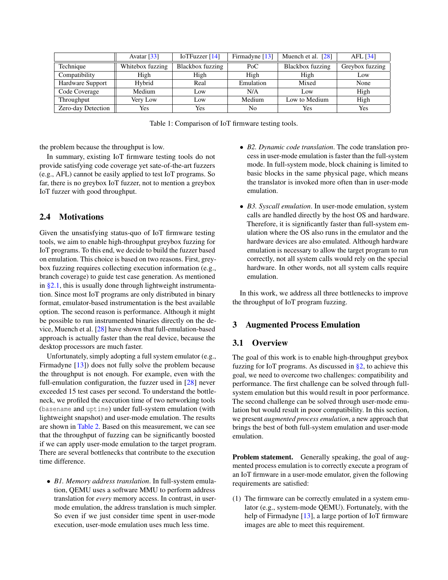|                         | Avatar $\lceil 33 \rceil$ | IoTFuzzer $[14]$ | Firmadyne [13] | Muench et al. $[28]$ | AFL $[34]$      |
|-------------------------|---------------------------|------------------|----------------|----------------------|-----------------|
| Technique               | Whitebox fuzzing          | Blackbox fuzzing | PoC            | Blackbox fuzzing     | Greybox fuzzing |
| Compatibility           | High                      | High             | High           | High                 | Low             |
| <b>Hardware Support</b> | Hybrid                    | Real             | Emulation      | Mixed                | None            |
| Code Coverage           | Medium                    | Low              | N/A            | Low                  | High            |
| Throughput              | Very Low                  | Low              | Medium         | Low to Medium        | High            |
| Zero-day Detection      | Yes                       | Yes              | No             | Yes                  | Yes             |

Table 1: Comparison of IoT firmware testing tools.

the problem because the throughput is low.

In summary, existing IoT firmware testing tools do not provide satisfying code coverage yet sate-of-the-art fuzzers (e.g., AFL) cannot be easily applied to test IoT programs. So far, there is no greybox IoT fuzzer, not to mention a greybox IoT fuzzer with good throughput.

# <span id="page-3-0"></span>2.4 Motivations

Given the unsatisfying status-quo of IoT firmware testing tools, we aim to enable high-throughput greybox fuzzing for IoT programs. To this end, we decide to build the fuzzer based on emulation. This choice is based on two reasons. First, greybox fuzzing requires collecting execution information (e.g., branch coverage) to guide test case generation. As mentioned in [§2.1,](#page-1-0) this is usually done through lightweight instrumentation. Since most IoT programs are only distributed in binary format, emulator-based instrumentation is the best available option. The second reason is performance. Although it might be possible to run instrumented binaries directly on the device, Muench et al. [\[28\]](#page-14-3) have shown that full-emulation-based approach is actually faster than the real device, because the desktop processors are much faster.

Unfortunately, simply adopting a full system emulator (e.g., Firmadyne [\[13\]](#page-14-2)) does not fully solve the problem because the throughput is not enough. For example, even with the full-emulation configuration, the fuzzer used in [\[28\]](#page-14-3) never exceeded 15 test cases per second. To understand the bottleneck, we profiled the execution time of two networking tools (basename and uptime) under full-system emulation (with lightweight snapshot) and user-mode emulation. The results are shown in [Table 2.](#page-4-0) Based on this measurement, we can see that the throughput of fuzzing can be significantly boosted if we can apply user-mode emulation to the target program. There are several bottlenecks that contribute to the execution time difference.

• *B1. Memory address translation*. In full-system emulation, QEMU uses a software MMU to perform address translation for *every* memory access. In contrast, in usermode emulation, the address translation is much simpler. So even if we just consider time spent in user-mode execution, user-mode emulation uses much less time.

- <span id="page-3-1"></span>• *B2. Dynamic code translation*. The code translation process in user-mode emulation is faster than the full-system mode. In full-system mode, block chaining is limited to basic blocks in the same physical page, which means the translator is invoked more often than in user-mode emulation.
- *B3. Syscall emulation*. In user-mode emulation, system calls are handled directly by the host OS and hardware. Therefore, it is significantly faster than full-system emulation where the OS also runs in the emulator and the hardware devices are also emulated. Although hardware emulation is necessary to allow the target program to run correctly, not all system calls would rely on the special hardware. In other words, not all system calls require emulation.

In this work, we address all three bottlenecks to improve the throughput of IoT program fuzzing.

# <span id="page-3-2"></span>3 Augmented Process Emulation

# 3.1 Overview

The goal of this work is to enable high-throughput greybox fuzzing for IoT programs. As discussed in [§2,](#page-1-1) to achieve this goal, we need to overcome two challenges: compatibility and performance. The first challenge can be solved through fullsystem emulation but this would result in poor performance. The second challenge can be solved through user-mode emulation but would result in poor compatibility. In this section, we present *augmented process emulation*, a new approach that brings the best of both full-system emulation and user-mode emulation.

Problem statement. Generally speaking, the goal of augmented process emulation is to correctly execute a program of an IoT firmware in a user-mode emulator, given the following requirements are satisfied:

(1) The firmware can be correctly emulated in a system emulator (e.g., system-mode QEMU). Fortunately, with the help of Firmadyne [\[13\]](#page-14-2), a large portion of IoT firmware images are able to meet this requirement.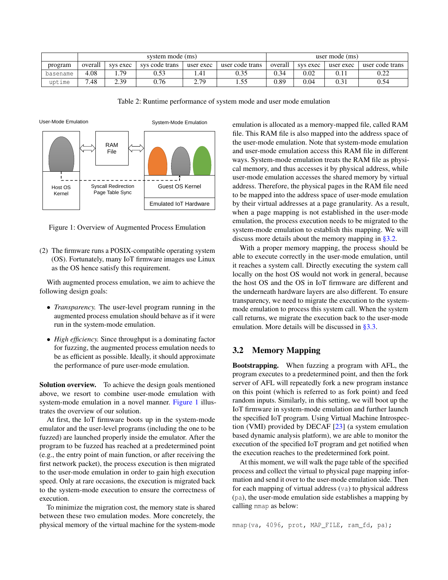<span id="page-4-0"></span>

|          | system mode (ms)                                                      |             |      |             | user mode (ms) |           |                 |  |      |
|----------|-----------------------------------------------------------------------|-------------|------|-------------|----------------|-----------|-----------------|--|------|
| program  | overall<br>sys code trans<br>user code trans<br>sys exec<br>user exec |             |      | overall     | sys exec       | user exec | user code trans |  |      |
| basename | 4.08                                                                  | 70          | 0.53 | 1.41        |                | 0.34      |                 |  | 0.22 |
| uptime   | 7.48                                                                  | 2 3Q<br>. ت | 0.76 | 7 7Q<br>، ، | ⊥.             | 0.89      | 0.04            |  | 0.54 |

Table 2: Runtime performance of system mode and user mode emulation



<span id="page-4-1"></span>Figure 1: Overview of Augmented Process Emulation

(2) The firmware runs a POSIX-compatible operating system (OS). Fortunately, many IoT firmware images use Linux as the OS hence satisfy this requirement.

With augmented process emulation, we aim to achieve the following design goals:

- *Transparency.* The user-level program running in the augmented process emulation should behave as if it were run in the system-mode emulation.
- *High efficiency*. Since throughput is a dominating factor for fuzzing, the augmented process emulation needs to be as efficient as possible. Ideally, it should approximate the performance of pure user-mode emulation.

Solution overview. To achieve the design goals mentioned above, we resort to combine user-mode emulation with system-mode emulation in a novel manner. [Figure 1](#page-4-1) illustrates the overview of our solution.

At first, the IoT firmware boots up in the system-mode emulator and the user-level programs (including the one to be fuzzed) are launched properly inside the emulator. After the program to be fuzzed has reached at a predetermined point (e.g., the entry point of main function, or after receiving the first network packet), the process execution is then migrated to the user-mode emulation in order to gain high execution speed. Only at rare occasions, the execution is migrated back to the system-mode execution to ensure the correctness of execution.

To minimize the migration cost, the memory state is shared between these two emulation modes. More concretely, the physical memory of the virtual machine for the system-mode emulation is allocated as a memory-mapped file, called RAM file. This RAM file is also mapped into the address space of the user-mode emulation. Note that system-mode emulation and user-mode emulation access this RAM file in different ways. System-mode emulation treats the RAM file as physical memory, and thus accesses it by physical address, while user-mode emulation accesses the shared memory by virtual address. Therefore, the physical pages in the RAM file need to be mapped into the address space of user-mode emulation by their virtual addresses at a page granularity. As a result, when a page mapping is not established in the user-mode emulation, the process execution needs to be migrated to the system-mode emulation to establish this mapping. We will discuss more details about the memory mapping in [§3.2.](#page-4-2)

With a proper memory mapping, the process should be able to execute correctly in the user-mode emulation, until it reaches a system call. Directly executing the system call locally on the host OS would not work in general, because the host OS and the OS in IoT firmware are different and the underneath hardware layers are also different. To ensure transparency, we need to migrate the execution to the systemmode emulation to process this system call. When the system call returns, we migrate the execution back to the user-mode emulation. More details will be discussed in [§3.3.](#page-5-0)

# <span id="page-4-2"></span>3.2 Memory Mapping

Bootstrapping. When fuzzing a program with AFL, the program executes to a predetermined point, and then the fork server of AFL will repeatedly fork a new program instance on this point (which is referred to as fork point) and feed random inputs. Similarly, in this setting, we will boot up the IoT firmware in system-mode emulation and further launch the specified IoT program. Using Virtual Machine Introspection (VMI) provided by DECAF [\[23\]](#page-14-8) (a system emulation based dynamic analysis platform), we are able to monitor the execution of the specified IoT program and get notified when the execution reaches to the predetermined fork point.

At this moment, we will walk the page table of the specified process and collect the virtual to physical page mapping information and send it over to the user-mode emulation side. Then for each mapping of virtual address (va) to physical address (pa), the user-mode emulation side establishes a mapping by calling mmap as below:

mmap(va, 4096, prot, MAP\_FILE, ram\_fd, pa);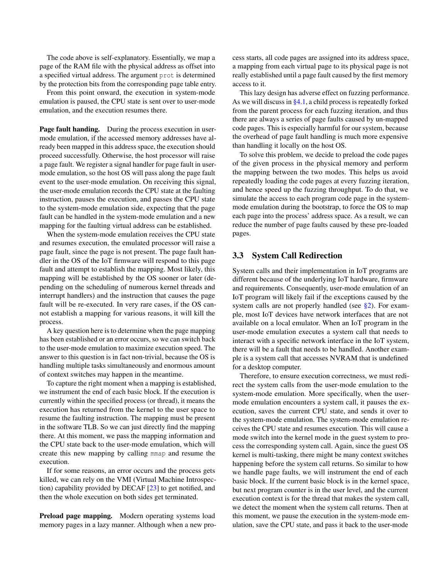The code above is self-explanatory. Essentially, we map a page of the RAM file with the physical address as offset into a specified virtual address. The argument prot is determined by the protection bits from the corresponding page table entry.

From this point onward, the execution in system-mode emulation is paused, the CPU state is sent over to user-mode emulation, and the execution resumes there.

Page fault handing. During the process execution in usermode emulation, if the accessed memory addresses have already been mapped in this address space, the execution should proceed successfully. Otherwise, the host processor will raise a page fault. We register a signal handler for page fault in usermode emulation, so the host OS will pass along the page fault event to the user-mode emulation. On receiving this signal, the user-mode emulation records the CPU state at the faulting instruction, pauses the execution, and passes the CPU state to the system-mode emulation side, expecting that the page fault can be handled in the system-mode emulation and a new mapping for the faulting virtual address can be established.

When the system-mode emulation receives the CPU state and resumes execution, the emulated processor will raise a page fault, since the page is not present. The page fault handler in the OS of the IoT firmware will respond to this page fault and attempt to establish the mapping. Most likely, this mapping will be established by the OS sooner or later (depending on the scheduling of numerous kernel threads and interrupt handlers) and the instruction that causes the page fault will be re-executed. In very rare cases, if the OS cannot establish a mapping for various reasons, it will kill the process.

A key question here is to determine when the page mapping has been established or an error occurs, so we can switch back to the user-mode emulation to maximize execution speed. The answer to this question is in fact non-trivial, because the OS is handling multiple tasks simultaneously and enormous amount of context switches may happen in the meantime.

To capture the right moment when a mapping is established, we instrument the end of each basic block. If the execution is currently within the specified process (or thread), it means the execution has returned from the kernel to the user space to resume the faulting instruction. The mapping must be present in the software TLB. So we can just directly find the mapping there. At this moment, we pass the mapping information and the CPU state back to the user-mode emulation, which will create this new mapping by calling mmap and resume the execution.

If for some reasons, an error occurs and the process gets killed, we can rely on the VMI (Virtual Machine Introspection) capability provided by DECAF [\[23\]](#page-14-8) to get notified, and then the whole execution on both sides get terminated.

Preload page mapping. Modern operating systems load memory pages in a lazy manner. Although when a new process starts, all code pages are assigned into its address space, a mapping from each virtual page to its physical page is not really established until a page fault caused by the first memory access to it.

This lazy design has adverse effect on fuzzing performance. As we will discuss in  $\S 4.1$ , a child process is repeatedly forked from the parent process for each fuzzing iteration, and thus there are always a series of page faults caused by un-mapped code pages. This is especially harmful for our system, because the overhead of page fault handling is much more expensive than handling it locally on the host OS.

To solve this problem, we decide to preload the code pages of the given process in the physical memory and perform the mapping between the two modes. This helps us avoid repeatedly loading the code pages at every fuzzing iteration, and hence speed up the fuzzing throughput. To do that, we simulate the access to each program code page in the systemmode emulation during the bootstrap, to force the OS to map each page into the process' address space. As a result, we can reduce the number of page faults caused by these pre-loaded pages.

# <span id="page-5-0"></span>3.3 System Call Redirection

System calls and their implementation in IoT programs are different because of the underlying IoT hardware, firmware and requirements. Consequently, user-mode emulation of an IoT program will likely fail if the exceptions caused by the system calls are not properly handled (see [§2\)](#page-1-1). For example, most IoT devices have network interfaces that are not available on a local emulator. When an IoT program in the user-mode emulation executes a system call that needs to interact with a specific network interface in the IoT system, there will be a fault that needs to be handled. Another example is a system call that accesses NVRAM that is undefined for a desktop computer.

Therefore, to ensure execution correctness, we must redirect the system calls from the user-mode emulation to the system-mode emulation. More specifically, when the usermode emulation encounters a system call, it pauses the execution, saves the current CPU state, and sends it over to the system-mode emulation. The system-mode emulation receives the CPU state and resumes execution. This will cause a mode switch into the kernel mode in the guest system to process the corresponding system call. Again, since the guest OS kernel is multi-tasking, there might be many context switches happening before the system call returns. So similar to how we handle page faults, we will instrument the end of each basic block. If the current basic block is in the kernel space, but next program counter is in the user level, and the current execution context is for the thread that makes the system call, we detect the moment when the system call returns. Then at this moment, we pause the execution in the system-mode emulation, save the CPU state, and pass it back to the user-mode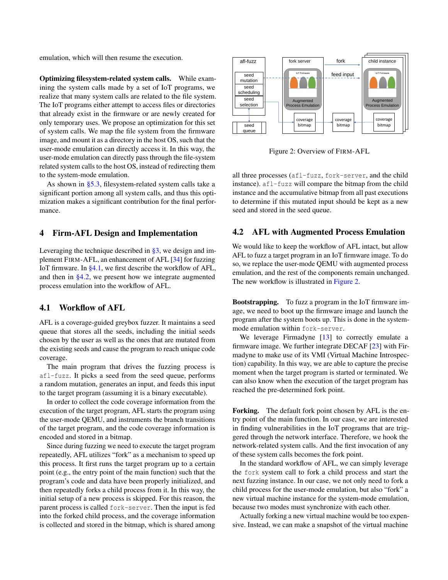emulation, which will then resume the execution.

Optimizing filesystem-related system calls. While examining the system calls made by a set of IoT programs, we realize that many system calls are related to the file system. The IoT programs either attempt to access files or directories that already exist in the firmware or are newly created for only temporary uses. We propose an optimization for this set of system calls. We map the file system from the firmware image, and mount it as a directory in the host OS, such that the user-mode emulation can directly access it. In this way, the user-mode emulation can directly pass through the file-system related system calls to the host OS, instead of redirecting them to the system-mode emulation.

As shown in [§5.3,](#page-8-1) filesystem-related system calls take a significant portion among all system calls, and thus this optimization makes a significant contribution for the final performance.

#### <span id="page-6-3"></span>4 Firm-AFL Design and Implementation

Leveraging the technique described in [§3,](#page-3-2) we design and implement FIRM-AFL, an enhancement of AFL [\[34\]](#page-15-0) for fuzzing IoT firmware. In  $\S 4.1$ , we first describe the workflow of AFL, and then in [§4.2,](#page-6-1) we present how we integrate augmented process emulation into the workflow of AFL.

## <span id="page-6-0"></span>4.1 Workflow of AFL

AFL is a coverage-guided greybox fuzzer. It maintains a seed queue that stores all the seeds, including the initial seeds chosen by the user as well as the ones that are mutated from the existing seeds and cause the program to reach unique code coverage.

The main program that drives the fuzzing process is afl-fuzz. It picks a seed from the seed queue, performs a random mutation, generates an input, and feeds this input to the target program (assuming it is a binary executable).

In order to collect the code coverage information from the execution of the target program, AFL starts the program using the user-mode QEMU, and instruments the branch transitions of the target program, and the code coverage information is encoded and stored in a bitmap.

Since during fuzzing we need to execute the target program repeatedly, AFL utilizes "fork" as a mechanism to speed up this process. It first runs the target program up to a certain point (e.g., the entry point of the main function) such that the program's code and data have been properly initialized, and then repeatedly forks a child process from it. In this way, the initial setup of a new process is skipped. For this reason, the parent process is called fork-server. Then the input is fed into the forked child process, and the coverage information is collected and stored in the bitmap, which is shared among



<span id="page-6-2"></span>Figure 2: Overview of FIRM-AFL

all three processes (afl-fuzz, fork-server, and the child instance). afl-fuzz will compare the bitmap from the child instance and the accumulative bitmap from all past executions to determine if this mutated input should be kept as a new seed and stored in the seed queue.

#### <span id="page-6-1"></span>4.2 AFL with Augmented Process Emulation

We would like to keep the workflow of AFL intact, but allow AFL to fuzz a target program in an IoT firmware image. To do so, we replace the user-mode QEMU with augmented process emulation, and the rest of the components remain unchanged. The new workflow is illustrated in [Figure 2.](#page-6-2)

Bootstrapping. To fuzz a program in the IoT firmware image, we need to boot up the firmware image and launch the program after the system boots up. This is done in the systemmode emulation within fork-server.

We leverage Firmadyne [\[13\]](#page-14-2) to correctly emulate a firmware image. We further integrate DECAF  $[23]$  with Firmadyne to make use of its VMI (Virtual Machine Introspection) capability. In this way, we are able to capture the precise moment when the target program is started or terminated. We can also know when the execution of the target program has reached the pre-determined fork point.

Forking. The default fork point chosen by AFL is the entry point of the main function. In our case, we are interested in finding vulnerabilities in the IoT programs that are triggered through the network interface. Therefore, we hook the network-related system calls. And the first invocation of any of these system calls becomes the fork point.

In the standard workflow of AFL, we can simply leverage the fork system call to fork a child process and start the next fuzzing instance. In our case, we not only need to fork a child process for the user-mode emulation, but also "fork" a new virtual machine instance for the system-mode emulation, because two modes must synchronize with each other.

Actually forking a new virtual machine would be too expensive. Instead, we can make a snapshot of the virtual machine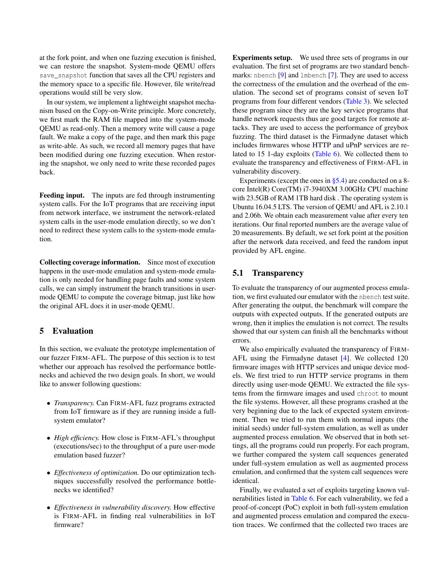at the fork point, and when one fuzzing execution is finished, we can restore the snapshot. System-mode QEMU offers save snapshot function that saves all the CPU registers and the memory space to a specific file. However, file write/read operations would still be very slow.

In our system, we implement a lightweight snapshot mechanism based on the Copy-on-Write principle. More concretely, we first mark the RAM file mapped into the system-mode QEMU as read-only. Then a memory write will cause a page fault. We make a copy of the page, and then mark this page as write-able. As such, we record all memory pages that have been modified during one fuzzing execution. When restoring the snapshot, we only need to write these recorded pages back.

Feeding input. The inputs are fed through instrumenting system calls. For the IoT programs that are receiving input from network interface, we instrument the network-related system calls in the user-mode emulation directly, so we don't need to redirect these system calls to the system-mode emulation.

Collecting coverage information. Since most of execution happens in the user-mode emulation and system-mode emulation is only needed for handling page faults and some system calls, we can simply instrument the branch transitions in usermode QEMU to compute the coverage bitmap, just like how the original AFL does it in user-mode QEMU.

# <span id="page-7-0"></span>5 Evaluation

In this section, we evaluate the prototype implementation of our fuzzer FIRM-AFL. The purpose of this section is to test whether our approach has resolved the performance bottlenecks and achieved the two design goals. In short, we would like to answer following questions:

- *Transparency.* Can FIRM-AFL fuzz programs extracted from IoT firmware as if they are running inside a fullsystem emulator?
- *High efficiency.* How close is FIRM-AFL's throughput (executions/sec) to the throughput of a pure user-mode emulation based fuzzer?
- *Effectiveness of optimization.* Do our optimization techniques successfully resolved the performance bottlenecks we identified?
- *Effectiveness in vulnerability discovery.* How effective is FIRM-AFL in finding real vulnerabilities in IoT firmware?

Experiments setup. We used three sets of programs in our evaluation. The first set of programs are two standard benchmarks: nbench [\[9\]](#page-14-12) and lmbench [\[7\]](#page-14-13). They are used to access the correctness of the emulation and the overhead of the emulation. The second set of programs consist of seven IoT programs from four different vendors [\(Table 3\)](#page-8-0). We selected these program since they are the key service programs that handle network requests thus are good targets for remote attacks. They are used to access the performance of greybox fuzzing. The third dataset is the Firmadyne dataset which includes firmwares whose HTTP and uPnP services are related to 15 1-day exploits [\(Table 6\)](#page-11-0). We collected them to evaluate the transparency and effectiveness of FIRM-AFL in vulnerability discovery.

Experiments (except the ones in [§5.4\)](#page-10-0) are conducted on a 8 core Intel(R) Core(TM) i7-3940XM 3.00GHz CPU machine with 23.5GB of RAM 1TB hard disk . The operating system is Ubuntu 16.04.5 LTS. The version of QEMU and AFL is 2.10.1 and 2.06b. We obtain each measurement value after every ten iterations. Our final reported numbers are the average value of 20 measurements. By default, we set fork point at the position after the network data received, and feed the random input provided by AFL engine.

# 5.1 Transparency

To evaluate the transparency of our augmented process emulation, we first evaluated our emulator with the nbench test suite. After generating the output, the benchmark will compare the outputs with expected outputs. If the generated outputs are wrong, then it implies the emulation is not correct. The results showed that our system can finish all the benchmarks without errors.

We also empirically evaluated the transparency of FIRM-AFL using the Firmadyne dataset [\[4\]](#page-13-1). We collected 120 firmware images with HTTP services and unique device models. We first tried to run HTTP service programs in them directly using user-mode QEMU. We extracted the file systems from the firmware images and used chroot to mount the file systems. However, all these programs crashed at the very beginning due to the lack of expected system environment. Then we tried to run them with normal inputs (the initial seeds) under full-system emulation, as well as under augmented process emulation. We observed that in both settings, all the programs could run properly. For each program, we further compared the system call sequences generated under full-system emulation as well as augmented process emulation, and confirmed that the system call sequences were identical.

Finally, we evaluated a set of exploits targeting known vulnerabilities listed in [Table 6.](#page-11-0) For each vulnerability, we fed a proof-of-concept (PoC) exploit in both full-system emulation and augmented process emulation and compared the execution traces. We confirmed that the collected two traces are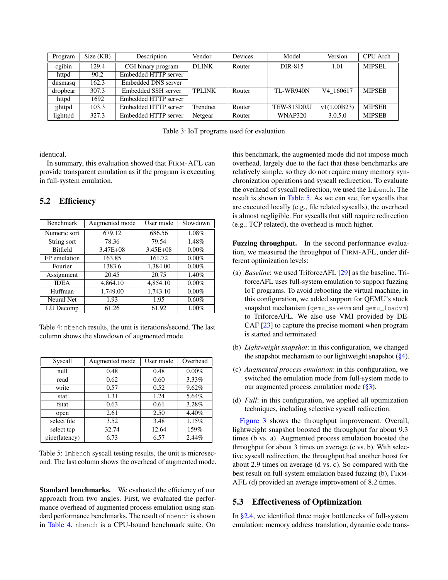| Program  | Size (KB) | Description          | Vendor        | <b>Devices</b> | Model            | Version     | CPU Arch      |
|----------|-----------|----------------------|---------------|----------------|------------------|-------------|---------------|
| cgibin   | 129.4     | CGI binary program   | <b>DLINK</b>  | Router         | DIR-815          | 1.01        | <b>MIPSEL</b> |
| httpd    | 90.2      | Embedded HTTP server |               |                |                  |             |               |
| dnsmasq  | 162.3     | Embedded DNS server  |               |                |                  |             |               |
| dropbear | 307.3     | Embedded SSH server  | <b>TPLINK</b> | Router         | <b>TL-WR940N</b> | V4 160617   | <b>MIPSEB</b> |
| httpd    | 1692      | Embedded HTTP server |               |                |                  |             |               |
| jihttpd  | 103.3     | Embedded HTTP server | Trendnet      | Router         | TEW-813DRU       | v1(1.00B23) | <b>MIPSEB</b> |
| lighttpd | 327.3     | Embedded HTTP server | Netgear       | Router         | <b>WNAP320</b>   | 3.0.5.0     | <b>MIPSEB</b> |

Table 3: IoT programs used for evaluation

identical.

In summary, this evaluation showed that FIRM-AFL can provide transparent emulation as if the program is executing in full-system emulation.

| <b>Benchmark</b> | Augmented mode | User mode    | Slowdown |  |
|------------------|----------------|--------------|----------|--|
| Numeric sort     | 679.12         | 686.56       | 1.08%    |  |
| String sort      | 78.36          | 79.54        | 1.48%    |  |
| <b>Bitfield</b>  | $3.47E + 08$   | $3.45E + 08$ | $0.00\%$ |  |
| FP emulation     | 163.85         | 161.72       | $0.00\%$ |  |
| Fourier          | 1383.6         | 1,384.00     | $0.00\%$ |  |
| Assignment       | 20.45          | 20.75        | 1.40%    |  |
| <b>IDEA</b>      | 4,864.10       | 4,854.10     | $0.00\%$ |  |
| Huffman          | 1,749.00       | 1,743.10     | $0.00\%$ |  |
| Neural Net       | 1.93           | 1.95         | 0.60%    |  |
| LU Decomp        | 61.26          | 61.92        | 1.00%    |  |

# 5.2 Efficiency

<span id="page-8-2"></span>Table 4: nbench results, the unit is iterations/second. The last column shows the slowdown of augmented mode.

| Syscall       | Augmented mode | User mode | Overhead |  |
|---------------|----------------|-----------|----------|--|
| null          | 0.48           | 0.48      | $0.00\%$ |  |
| read          | 0.62           | 0.60      | 3.33%    |  |
| write         | 0.57           | 0.52      | 9.62%    |  |
| stat          | 1.31           | 1.24      | 5.64%    |  |
| fstat         | 0.63           | 0.61      | 3.28%    |  |
| open          | 2.61           | 2.50      | 4.40%    |  |
| select file   | 3.52           | 3.48      | 1.15%    |  |
| select tcp    | 32.74          | 12.64     | 159%     |  |
| pipe(latency) | 6.73           | 6.57      | 2.44%    |  |

Table 5: lmbench syscall testing results, the unit is microsecond. The last column shows the overhead of augmented mode.

Standard benchmarks. We evaluated the efficiency of our approach from two angles. First, we evaluated the performance overhead of augmented process emulation using standard performance benchmarks. The result of nbench is shown in [Table 4.](#page-8-2) nbench is a CPU-bound benchmark suite. On

<span id="page-8-0"></span>this benchmark, the augmented mode did not impose much overhead, largely due to the fact that these benchmarks are relatively simple, so they do not require many memory synchronization operations and syscall redirection. To evaluate the overhead of syscall redirection, we used the lmbench. The result is shown in [Table 5.](#page-8-3) As we can see, for syscalls that are executed locally (e.g., file related syscalls), the overhead is almost negligible. For syscalls that still require redirection (e.g., TCP related), the overhead is much higher.

Fuzzing throughput. In the second performance evaluation, we measured the throughput of FIRM-AFL, under different optimization levels:

- (a) *Baseline*: we used TriforceAFL [\[29\]](#page-15-2) as the baseline. TriforceAFL uses full-system emulation to support fuzzing IoT programs. To avoid rebooting the virtual machine, in this configuration, we added support for QEMU's stock snapshot mechanism (qemu\_savevm and qemu\_loadvm) to TriforceAFL. We also use VMI provided by DE-CAF [\[23\]](#page-14-8) to capture the precise moment when program is started and terminated.
- (b) *Lightweight snapshot*: in this configuration, we changed the snapshot mechanism to our lightweight snapshot [\(§4\)](#page-6-3).
- (c) *Augmented process emulation*: in this configuration, we switched the emulation mode from full-system mode to our augmented process emulation mode [\(§3\)](#page-3-2).
- <span id="page-8-3"></span>(d) *Full*: in this configuration, we applied all optimization techniques, including selective syscall redirection.

[Figure 3](#page-9-0) shows the throughput improvement. Overall, lightweight snapshot boosted the throughput for about 9.3 times (b vs. a). Augmented process emulation boosted the throughput for about 3 times on average (c vs. b). With selective syscall redirection, the throughput had another boost for about 2.9 times on average (d vs. c). So compared with the best result on full-system emulation based fuzzing (b), FIRM-AFL (d) provided an average improvement of 8.2 times.

# <span id="page-8-1"></span>5.3 Effectiveness of Optimization

In [§2.4,](#page-3-0) we identified three major bottlenecks of full-system emulation: memory address translation, dynamic code trans-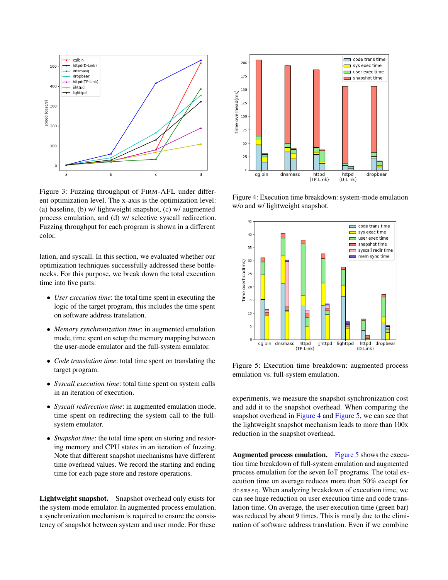

Figure 3: Fuzzing throughput of FIRM-AFL under different optimization level. The x-axis is the optimization level: (a) baseline, (b) w/ lightweight snapshot, (c) w/ augmented process emulation, and (d) w/ selective syscall redirection. Fuzzing throughput for each program is shown in a different color.

lation, and syscall. In this section, we evaluated whether our optimization techniques successfully addressed these bottlenecks. For this purpose, we break down the total execution time into five parts:

- *User execution time*: the total time spent in executing the logic of the target program, this includes the time spent on software address translation.
- *Memory synchronization time*: in augmented emulation mode, time spent on setup the memory mapping between the user-mode emulator and the full-system emulator.
- *Code translation time*: total time spent on translating the target program.
- *Syscall execution time*: total time spent on system calls in an iteration of execution.
- *Syscall redirection time*: in augmented emulation mode, time spent on redirecting the system call to the fullsystem emulator.
- *Snapshot time*: the total time spent on storing and restoring memory and CPU states in an iteration of fuzzing. Note that different snapshot mechanisms have different time overhead values. We record the starting and ending time for each page store and restore operations.

Lightweight snapshot. Snapshot overhead only exists for the system-mode emulator. In augmented process emulation, a synchronization mechanism is required to ensure the consistency of snapshot between system and user mode. For these



<span id="page-9-1"></span><span id="page-9-0"></span>Figure 4: Execution time breakdown: system-mode emulation w/o and w/ lightweight snapshot.



<span id="page-9-2"></span>Figure 5: Execution time breakdown: augmented process emulation vs. full-system emulation.

experiments, we measure the snapshot synchronization cost and add it to the snapshot overhead. When comparing the snapshot overhead in [Figure 4](#page-9-1) and [Figure 5,](#page-9-2) we can see that the lightweight snapshot mechanism leads to more than 100x reduction in the snapshot overhead.

Augmented process emulation. [Figure 5](#page-9-2) shows the execution time breakdown of full-system emulation and augmented process emulation for the seven IoT programs. The total execution time on average reduces more than 50% except for dnsmasq. When analyzing breakdown of execution time, we can see huge reduction on user execution time and code translation time. On average, the user execution time (green bar) was reduced by about 9 times. This is mostly due to the elimination of software address translation. Even if we combine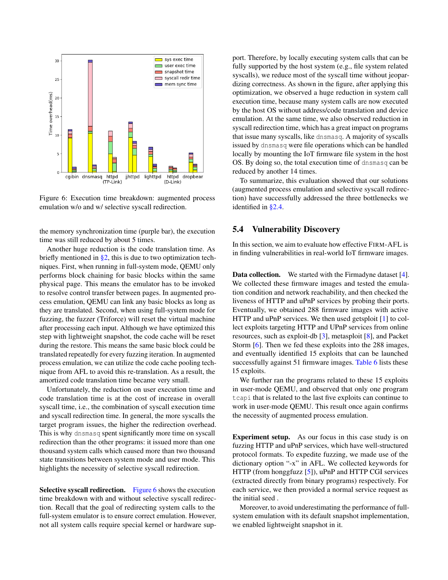

Figure 6: Execution time breakdown: augmented process emulation w/o and w/ selective syscall redirection.

the memory synchronization time (purple bar), the execution time was still reduced by about 5 times.

Another huge reduction is the code translation time. As briefly mentioned in  $\S2$ , this is due to two optimization techniques. First, when running in full-system mode, QEMU only performs block chaining for basic blocks within the same physical page. This means the emulator has to be invoked to resolve control transfer between pages. In augmented process emulation, QEMU can link any basic blocks as long as they are translated. Second, when using full-system mode for fuzzing, the fuzzer (Triforce) will reset the virtual machine after processing each input. Although we have optimized this step with lightweight snapshot, the code cache will be reset during the restore. This means the same basic block could be translated repeatedly for every fuzzing iteration. In augmented process emulation, we can utilize the code cache pooling technique from AFL to avoid this re-translation. As a result, the amortized code translation time became very small.

Unfortunately, the reduction on user execution time and code translation time is at the cost of increase in overall syscall time, i.e., the combination of syscall execution time and syscall redirection time. In general, the more syscalls the target program issues, the higher the redirection overhead. This is why dnsmasq spent significantly more time on syscall redirection than the other programs: it issued more than one thousand system calls which caused more than two thousand state transitions between system mode and user mode. This highlights the necessity of selective syscall redirection.

Selective syscall redirection. [Figure 6](#page-10-1) shows the execution time breakdown with and without selective syscall redirection. Recall that the goal of redirecting system calls to the full-system emulator is to ensure correct emulation. However, not all system calls require special kernel or hardware support. Therefore, by locally executing system calls that can be fully supported by the host system (e.g., file system related syscalls), we reduce most of the syscall time without jeopardizing correctness. As shown in the figure, after applying this optimization, we observed a huge reduction in system call execution time, because many system calls are now executed by the host OS without address/code translation and device emulation. At the same time, we also observed reduction in syscall redirection time, which has a great impact on programs that issue many syscalls, like dnsmasq. A majority of syscalls issued by dnsmasq were file operations which can be handled locally by mounting the IoT firmware file system in the host OS. By doing so, the total execution time of dnsmasq can be reduced by another 14 times.

<span id="page-10-1"></span>To summarize, this evaluation showed that our solutions (augmented process emulation and selective syscall redirection) have successfully addressed the three bottlenecks we identified in [§2.4.](#page-3-0)

#### <span id="page-10-0"></span>5.4 Vulnerability Discovery

In this section, we aim to evaluate how effective FIRM-AFL is in finding vulnerabilities in real-world IoT firmware images.

**Data collection.** We started with the Firmadyne dataset [\[4\]](#page-13-1). We collected these firmware images and tested the emulation condition and network reachability, and then checked the liveness of HTTP and uPnP services by probing their ports. Eventually, we obtained 288 firmware images with active HTTP and uPnP services. We then used getsploit [\[1\]](#page-13-2) to collect exploits targeting HTTP and UPnP services from online resources, such as exploit-db [\[3\]](#page-13-3), metasploit [\[8\]](#page-14-14), and Packet Storm [\[6\]](#page-13-4). Then we fed these exploits into the 288 images, and eventually identified 15 exploits that can be launched successfully against 51 firmware images. [Table 6](#page-11-0) lists these 15 exploits.

We further ran the programs related to these 15 exploits in user-mode QEMU, and observed that only one program tcapi that is related to the last five exploits can continue to work in user-mode QEMU. This result once again confirms the necessity of augmented process emulation.

Experiment setup. As our focus in this case study is on fuzzing HTTP and uPnP services, which have well-structured protocol formats. To expedite fuzzing, we made use of the dictionary option "-x" in AFL. We collected keywords for HTTP (from honggfuzz [\[5\]](#page-13-5)), uPnP and HTTP CGI services (extracted directly from binary programs) respectively. For each service, we then provided a normal service request as the initial seed .

Moreover, to avoid underestimating the performance of fullsystem emulation with its default snapshot implementation, we enabled lightweight snapshot in it.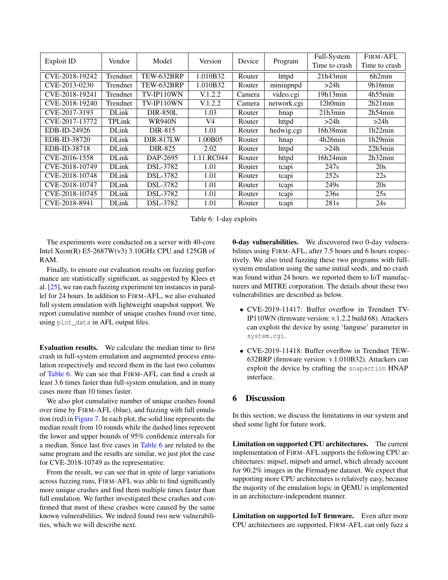| <b>Exploit ID</b> | Vendor       | Model           | Version        | Device | Program     | Full-System<br>Time to crash | FIRM-AFL<br>Time to crash |
|-------------------|--------------|-----------------|----------------|--------|-------------|------------------------------|---------------------------|
|                   |              |                 |                |        |             |                              |                           |
| CVE-2018-19242    | Trendnet     | TEW-632BRP      | 1.010B32       | Router | httpd       | 21h43min                     | 6h2min                    |
| CVE-2013-0230     | Trendnet     | TEW-632BRP      | 1.010B32       | Router | miniupnpd   | >24h                         | 9h16min                   |
| CVE-2018-19241    | Trendnet     | TV-IP110WN      | V.1.2.2        | Camera | video.cgi   | 19h13min                     | 4h55min                   |
| CVE-2018-19240    | Trendnet     | TV-IP110WN      | V.1.2.2        | Camera | network.cgi | 12h0min                      | 2h21min                   |
| CVE-2017-3193     | <b>DLink</b> | <b>DIR-850L</b> | 1.03           | Router | hnap        | 21h3min                      | 2h54min                   |
| CVE-2017-13772    | TPLink       | <b>WR940N</b>   | V <sub>4</sub> | Router | httpd       | >24h                         | >24h                      |
| EDB-ID-24926      | <b>DLink</b> | DIR-815         | 1.01           | Router | hedwig.cgi  | 16h38min                     | 1h22min                   |
| EDB-ID-38720      | <b>DLink</b> | DIR-817LW       | 1.00B05        | Router | hnap        | 4h26min                      | 1h29min                   |
| EDB-ID-38718      | <b>DLink</b> | DIR-825         | 2.02           | Router | httpd       | >24h                         | 22h3min                   |
| CVE-2016-1558     | <b>DLink</b> | DAP-2695        | 1.11.RC044     | Router | httpd       | 16h24min                     | 2h32min                   |
| CVE-2018-10749    | <b>DLink</b> | DSL-3782        | 1.01           | Router | tcapi       | 247 <sub>s</sub>             | 20s                       |
| CVE-2018-10748    | <b>DLink</b> | DSL-3782        | 1.01           | Router | tcapi       | 252s                         | 22s                       |
| CVE-2018-10747    | <b>DLink</b> | DSL-3782        | 1.01           | Router | tcapi       | 249 <sub>s</sub>             | 20s                       |
| CVE-2018-10745    | <b>DLink</b> | DSL-3782        | 1.01           | Router | tcapi       | 236s                         | 25s                       |
| CVE-2018-8941     | <b>DLink</b> | DSL-3782        | 1.01           | Router | tcapi       | 281s                         | 24s                       |

Table 6: 1-day exploits

The experiments were conducted on a server with 40-core Intel Xeon(R) E5-2687W(v3) 3.10GHz CPU and 125GB of RAM.

Finally, to ensure our evaluation results on fuzzing performance are statistically significant, as suggested by Klees et al. [\[25\]](#page-14-15), we ran each fuzzing experiment ten instances in parallel for 24 hours. In addition to FIRM-AFL, we also evaluated full system emulation with lightweight snapshot support. We report cumulative number of unique crashes found over time, using plot\_data in AFL output files.

Evaluation results. We calculate the median time to first crash in full-system emulation and augmented process emulation respectively and record them in the last two columns of [Table 6.](#page-11-0) We can see that FIRM-AFL can find a crash at least 3.6 times faster than full-system emulation, and in many cases more than 10 times faster.

We also plot cumulative number of unique crashes found over time by FIRM-AFL (blue), and fuzzing with full emulation (red) in [Figure 7.](#page-12-0) In each plot, the solid line represents the median result from 10 rounds while the dashed lines represent the lower and upper bounds of 95% confidence intervals for a median. Since last five cases in [Table 6](#page-11-0) are related to the same program and the results are similar, we just plot the case for CVE-2018-10749 as the representative.

From the result, we can see that in spite of large variations across fuzzing runs, FIRM-AFL was able to find significantly more unique crashes and find them multiple times faster than full emulation. We further investigated these crashes and confirmed that most of these crashes were caused by the same known vulnerabilities. We indeed found two new vulnerabilities, which we will describe next.

<span id="page-11-0"></span>0-day vulnerabilities. We discovered two 0-day vulnerabilities using FIRM-AFL, after 7.5 hours and 6 hours respectively. We also tried fuzzing these two programs with fullsystem emulation using the same initial seeds, and no crash was found within 24 hours. we reported them to IoT manufacturers and MITRE corporation. The details about these two vulnerabilities are described as below.

- CVE-2019-11417: Buffer overflow in Trendnet TV-IP110WN (firmware version: v.1.2.2 build 68). Attackers can exploit the device by using 'languse' parameter in system.cgi.
- CVE-2019-11418: Buffer overflow in Trendnet TEW-632BRP (firmware version: v.1.010B32). Attackers can exploit the device by crafting the soapaction HNAP interface.

# 6 Discussion

In this section, we discuss the limitations in our system and shed some light for future work.

Limitation on supported CPU architectures. The current implementation of FIRM-AFL supports the following CPU architectures: mipsel, mipseb and armel, which already account for 90.2% images in the Firmadyne dataset. We expect that supporting more CPU architectures is relatively easy, because the majority of the emulation logic in QEMU is implemented in an architecture-independent manner.

Limitation on supported IoT firmware. Even after more CPU architectures are supported, FIRM-AFL can only fuzz a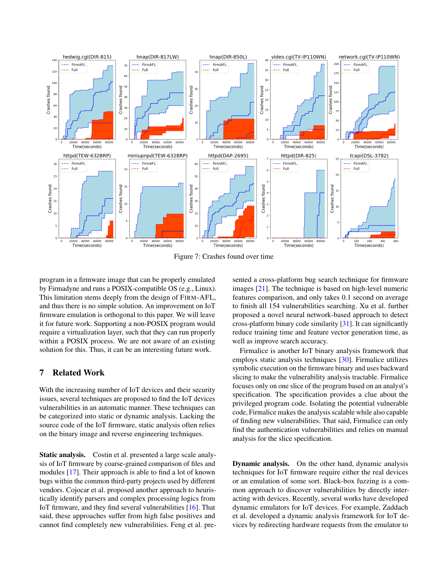

Figure 7: Crashes found over time

program in a firmware image that can be properly emulated by Firmadyne and runs a POSIX-compatible OS (e.g., Linux). This limitation stems deeply from the design of FIRM-AFL, and thus there is no simple solution. An improvement on IoT firmware emulation is orthogonal to this paper. We will leave it for future work. Supporting a non-POSIX program would require a virtualization layer, such that they can run properly within a POSIX process. We are not aware of an existing solution for this. Thus, it can be an interesting future work.

# 7 Related Work

With the increasing number of IoT devices and their security issues, several techniques are proposed to find the IoT devices vulnerabilities in an automatic manner. These techniques can be categorized into static or dynamic analysis. Lacking the source code of the IoT firmware, static analysis often relies on the binary image and reverse engineering techniques.

Static analysis. Costin et al. presented a large scale analysis of IoT firmware by coarse-grained comparison of files and modules [\[17\]](#page-14-16). Their approach is able to find a lot of known bugs within the common third-party projects used by different vendors. Cojocar et al. proposed another approach to heuristically identify parsers and complex processing logics from IoT firmware, and they find several vulnerabilities [\[16\]](#page-14-17). That said, these approaches suffer from high false positives and cannot find completely new vulnerabilities. Feng et al. pre<span id="page-12-0"></span>sented a cross-platform bug search technique for firmware images [\[21\]](#page-14-18). The technique is based on high-level numeric features comparison, and only takes 0.1 second on average to finish all 154 vulnerabilities searching. Xu et al. further proposed a novel neural network-based approach to detect cross-platform binary code similarity [\[31\]](#page-15-4). It can significantly reduce training time and feature vector generation time, as well as improve search accuracy.

Firmalice is another IoT binary analysis framework that employs static analysis techniques [\[30\]](#page-15-5). Firmalice utilizes symbolic execution on the firmware binary and uses backward slicing to make the vulnerability analysis tractable. Firmalice focuses only on one slice of the program based on an analyst's specification. The specification provides a clue about the privileged program code. Isolating the potential vulnerable code, Firmalice makes the analysis scalable while also capable of finding new vulnerabilities. That said, Firmalice can only find the authentication vulnerabilities and relies on manual analysis for the slice specification.

Dynamic analysis. On the other hand, dynamic analysis techniques for IoT firmware require either the real devices or an emulation of some sort. Black-box fuzzing is a common approach to discover vulnerabilities by directly interacting with devices. Recently, several works have developed dynamic emulators for IoT devices. For example, Zaddach et al. developed a dynamic analysis framework for IoT devices by redirecting hardware requests from the emulator to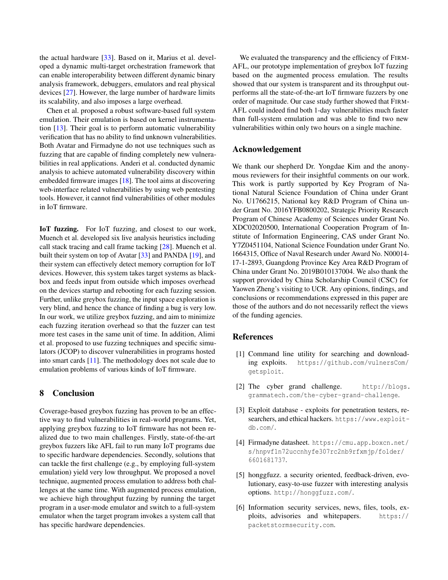the actual hardware [\[33\]](#page-15-1). Based on it, Marius et al. developed a dynamic multi-target orchestration framework that can enable interoperability between different dynamic binary analysis framework, debuggers, emulators and real physical devices [\[27\]](#page-14-19). However, the large number of hardware limits its scalability, and also imposes a large overhead.

Chen et al. proposed a robust software-based full system emulation. Their emulation is based on kernel instrumentation [\[13\]](#page-14-2). Their goal is to perform automatic vulnerability verification that has no ability to find unknown vulnerabilities. Both Avatar and Firmadyne do not use techniques such as fuzzing that are capable of finding completely new vulnerabilities in real applications. Anderi et al. conducted dynamic analysis to achieve automated vulnerability discovery within embedded firmware images [\[18\]](#page-14-20). The tool aims at discovering web-interface related vulnerabilities by using web pentesting tools. However, it cannot find vulnerabilities of other modules in IoT firmware.

IoT fuzzing. For IoT fuzzing, and closest to our work, Muench et al. developed six live analysis heuristics including call stack tracing and call frame tacking [\[28\]](#page-14-3). Muench et al. built their system on top of Avatar [\[33\]](#page-15-1) and PANDA [\[19\]](#page-14-7), and their system can effectively detect memory corruption for IoT devices. However, this system takes target systems as blackbox and feeds input from outside which imposes overhead on the devices startup and rebooting for each fuzzing session. Further, unlike greybox fuzzing, the input space exploration is very blind, and hence the chance of finding a bug is very low. In our work, we utilize greybox fuzzing, and aim to minimize each fuzzing iteration overhead so that the fuzzer can test more test cases in the same unit of time. In addition, Alimi et al. proposed to use fuzzing techniques and specific simulators (JCOP) to discover vulnerabilities in programs hosted into smart cards [\[11\]](#page-14-21). The methodology does not scale due to emulation problems of various kinds of IoT firmware.

#### 8 Conclusion

Coverage-based greybox fuzzing has proven to be an effective way to find vulnerabilities in real-world programs. Yet, applying greybox fuzzing to IoT firmware has not been realized due to two main challenges. Firstly, state-of-the-art greybox fuzzers like AFL fail to run many IoT programs due to specific hardware dependencies. Secondly, solutions that can tackle the first challenge (e.g., by employing full-system emulation) yield very low throughput. We proposed a novel technique, augmented process emulation to address both challenges at the same time. With augmented process emulation, we achieve high throughput fuzzing by running the target program in a user-mode emulator and switch to a full-system emulator when the target program invokes a system call that has specific hardware dependencies.

We evaluated the transparency and the efficiency of FIRM-AFL, our prototype implementation of greybox IoT fuzzing based on the augmented process emulation. The results showed that our system is transparent and its throughput outperforms all the state-of-the-art IoT firmware fuzzers by one order of magnitude. Our case study further showed that FIRM-AFL could indeed find both 1-day vulnerabilities much faster than full-system emulation and was able to find two new vulnerabilities within only two hours on a single machine.

# Acknowledgement

We thank our shepherd Dr. Yongdae Kim and the anonymous reviewers for their insightful comments on our work. This work is partly supported by Key Program of National Natural Science Foundation of China under Grant No. U1766215, National key R&D Program of China under Grant No. 2016YFB0800202, Strategic Priority Research Program of Chinese Academy of Sciences under Grant No. XDC02020500, International Cooperation Program of Institute of Information Engineering, CAS under Grant No. Y7Z0451104, National Science Foundation under Grant No. 1664315, Office of Naval Research under Award No. N00014- 17-1-2893, Guangdong Province Key Area R&D Program of China under Grant No. 2019B010137004. We also thank the support provided by China Scholarship Council (CSC) for Yaowen Zheng's visiting to UCR. Any opinions, findings, and conclusions or recommendations expressed in this paper are those of the authors and do not necessarily reflect the views of the funding agencies.

# References

- <span id="page-13-2"></span>[1] Command line utility for searching and downloading exploits. [https://github.com/vulnersCom/](https://github.com/vulnersCom/getsploit) [getsploit](https://github.com/vulnersCom/getsploit).
- <span id="page-13-0"></span>[2] The cyber grand challenge. [http://blogs.](http://blogs.grammatech.com/the-cyber-grand-challenge) [grammatech.com/the-cyber-grand-challenge](http://blogs.grammatech.com/the-cyber-grand-challenge).
- <span id="page-13-3"></span>[3] Exploit database - exploits for penetration testers, researchers, and ethical hackers. [https://www.exploit](https://www.exploit-db.com/)[db.com/](https://www.exploit-db.com/).
- <span id="page-13-1"></span>[4] Firmadyne datasheet. [https://cmu.app.boxcn.net/](https://cmu.app.boxcn.net/s/hnpvf1n72uccnhyfe307rc2nb9rfxmjp/folder/6601681737) [s/hnpvf1n72uccnhyfe307rc2nb9rfxmjp/folder/](https://cmu.app.boxcn.net/s/hnpvf1n72uccnhyfe307rc2nb9rfxmjp/folder/6601681737) [6601681737](https://cmu.app.boxcn.net/s/hnpvf1n72uccnhyfe307rc2nb9rfxmjp/folder/6601681737).
- <span id="page-13-5"></span>[5] honggfuzz. a security oriented, feedback-driven, evolutionary, easy-to-use fuzzer with interesting analysis options. <http://honggfuzz.com/>.
- <span id="page-13-4"></span>[6] Information security services, news, files, tools, exploits, advisories and whitepapers. [https://](https://packetstormsecurity.com) [packetstormsecurity.com](https://packetstormsecurity.com).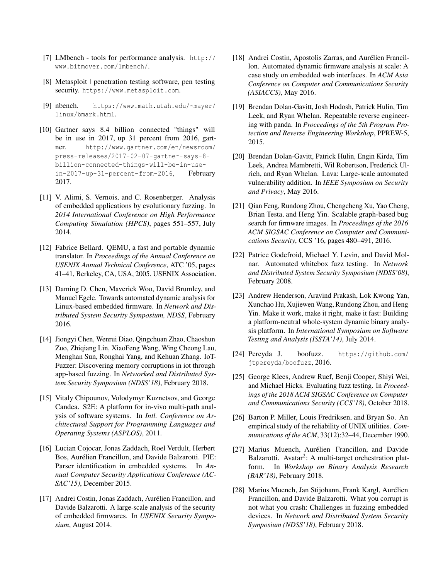- <span id="page-14-13"></span>[7] LMbench - tools for performance analysis. [http://](http://www.bitmover.com/lmbench/) [www.bitmover.com/lmbench/](http://www.bitmover.com/lmbench/).
- <span id="page-14-14"></span>[8] Metasploit | penetration testing software, pen testing security. <https://www.metasploit.com>.
- <span id="page-14-12"></span>[9] nbench. [https://www.math.utah.edu/~mayer/](https://www.math.utah.edu/~mayer/linux/bmark.html) [linux/bmark.html](https://www.math.utah.edu/~mayer/linux/bmark.html).
- <span id="page-14-0"></span>[10] Gartner says 8.4 billion connected "things" will be in use in 2017, up 31 percent from 2016, gartner. [http://www.gartner.com/en/newsroom/](http://www.gartner.com/en/newsroom/press-releases /2017-02-07-gartner-says-8-billion-connected-things-will-be-in-use-in-2017-up-31-percent-from-2016) [press-releases/2017-02-07-gartner-says-8](http://www.gartner.com/en/newsroom/press-releases /2017-02-07-gartner-says-8-billion-connected-things-will-be-in-use-in-2017-up-31-percent-from-2016) [billion-connected-things-will-be-in-use](http://www.gartner.com/en/newsroom/press-releases /2017-02-07-gartner-says-8-billion-connected-things-will-be-in-use-in-2017-up-31-percent-from-2016)[in-2017-up-31-percent-from-2016](http://www.gartner.com/en/newsroom/press-releases /2017-02-07-gartner-says-8-billion-connected-things-will-be-in-use-in-2017-up-31-percent-from-2016), February 2017.
- <span id="page-14-21"></span>[11] V. Alimi, S. Vernois, and C. Rosenberger. Analysis of embedded applications by evolutionary fuzzing. In *2014 International Conference on High Performance Computing Simulation (HPCS)*, pages 551–557, July 2014.
- <span id="page-14-6"></span>[12] Fabrice Bellard. QEMU, a fast and portable dynamic translator. In *Proceedings of the Annual Conference on USENIX Annual Technical Conference*, ATC '05, pages 41–41, Berkeley, CA, USA, 2005. USENIX Association.
- <span id="page-14-2"></span>[13] Daming D. Chen, Maverick Woo, David Brumley, and Manuel Egele. Towards automated dynamic analysis for Linux-based embedded firmware. In *Network and Distributed System Security Symposium, NDSS*, February 2016.
- <span id="page-14-1"></span>[14] Jiongyi Chen, Wenrui Diao, Qingchuan Zhao, Chaoshun Zuo, Zhiqiang Lin, XiaoFeng Wang, Wing Cheong Lau, Menghan Sun, Ronghai Yang, and Kehuan Zhang. IoT-Fuzzer: Discovering memory corruptions in iot through app-based fuzzing. In *Networked and Distributed System Security Symposium (NDSS'18)*, February 2018.
- <span id="page-14-10"></span>[15] Vitaly Chipounov, Volodymyr Kuznetsov, and George Candea. S2E: A platform for in-vivo multi-path analysis of software systems. In *Intl. Conference on Architectural Support for Programming Languages and Operating Systems (ASPLOS)*, 2011.
- <span id="page-14-17"></span>[16] Lucian Cojocar, Jonas Zaddach, Roel Verdult, Herbert Bos, Aurélien Francillon, and Davide Balzarotti. PIE: Parser identification in embedded systems. In *Annual Computer Security Applications Conference (AC-SAC'15)*, December 2015.
- <span id="page-14-16"></span>[17] Andrei Costin, Jonas Zaddach, Aurélien Francillon, and Davide Balzarotti. A large-scale analysis of the security of embedded firmwares. In *USENIX Security Symposium*, August 2014.
- <span id="page-14-20"></span>[18] Andrei Costin, Apostolis Zarras, and Aurélien Francillon. Automated dynamic firmware analysis at scale: A case study on embedded web interfaces. In *ACM Asia Conference on Computer and Communications Security (ASIACCS)*, May 2016.
- <span id="page-14-7"></span>[19] Brendan Dolan-Gavitt, Josh Hodosh, Patrick Hulin, Tim Leek, and Ryan Whelan. Repeatable reverse engineering with panda. In *Proceedings of the 5th Program Protection and Reverse Engineering Workshop*, PPREW-5, 2015.
- <span id="page-14-9"></span>[20] Brendan Dolan-Gavitt, Patrick Hulin, Engin Kirda, Tim Leek, Andrea Mambretti, Wil Robertson, Frederick Ulrich, and Ryan Whelan. Lava: Large-scale automated vulnerability addition. In *IEEE Symposium on Security and Privacy*, May 2016.
- <span id="page-14-18"></span>[21] Qian Feng, Rundong Zhou, Chengcheng Xu, Yao Cheng, Brian Testa, and Heng Yin. Scalable graph-based bug search for firmware images. In *Proceedings of the 2016 ACM SIGSAC Conference on Computer and Communications Security*, CCS '16, pages 480–491, 2016.
- <span id="page-14-5"></span>[22] Patrice Godefroid, Michael Y. Levin, and David Molnar. Automated whitebox fuzz testing. In *Network and Distributed System Security Symposium (NDSS'08)*, February 2008.
- <span id="page-14-8"></span>[23] Andrew Henderson, Aravind Prakash, Lok Kwong Yan, Xunchao Hu, Xujiewen Wang, Rundong Zhou, and Heng Yin. Make it work, make it right, make it fast: Building a platform-neutral whole-system dynamic binary analysis platform. In *International Symposium on Software Testing and Analysis (ISSTA'14)*, July 2014.
- <span id="page-14-11"></span>[24] Pereyda J. boofuzz. [https://github.com/](https://github.com/jtpereyda/boofuzz) [jtpereyda/boofuzz](https://github.com/jtpereyda/boofuzz), 2016.
- <span id="page-14-15"></span>[25] George Klees, Andrew Ruef, Benji Cooper, Shiyi Wei, and Michael Hicks. Evaluating fuzz testing. In *Proceedings of the 2018 ACM SIGSAC Conference on Computer and Communications Security (CCS'18)*, October 2018.
- <span id="page-14-4"></span>[26] Barton P. Miller, Louis Fredriksen, and Bryan So. An empirical study of the reliability of UNIX utilities. *Communications of the ACM*, 33(12):32–44, December 1990.
- <span id="page-14-19"></span>[27] Marius Muench, Aurélien Francillon, and Davide Balzarotti. Avatar<sup>2</sup>: A multi-target orchestration platform. In *Workshop on Binary Analysis Research (BAR'18)*, February 2018.
- <span id="page-14-3"></span>[28] Marius Muench, Jan Stijohann, Frank Kargl, Aurélien Francillon, and Davide Balzarotti. What you corrupt is not what you crash: Challenges in fuzzing embedded devices. In *Network and Distributed System Security Symposium (NDSS'18)*, February 2018.